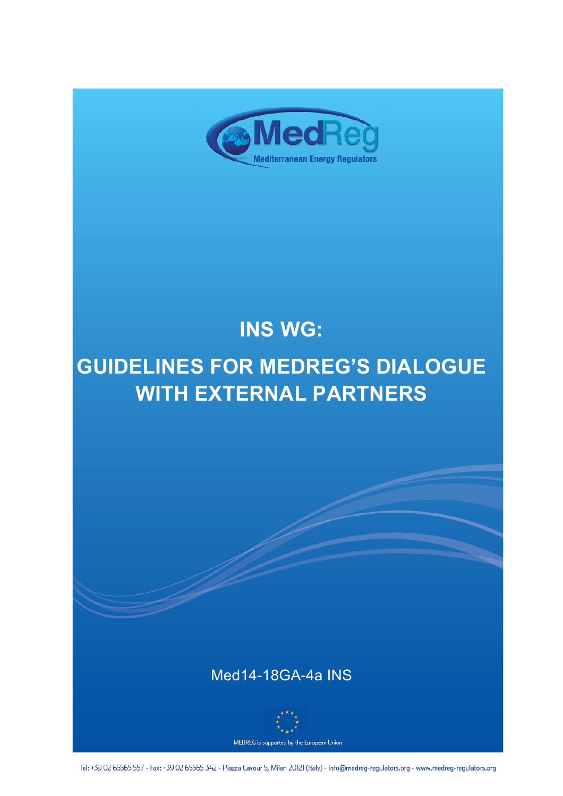

# **INS WG:**

## **GUIDELINES FOR MEDREG'S DIALOGUE WITH EXTERNAL PARTNERS**

## Med14-18GA-4a INS



Tel: +39 02 65565 557 - Fax: +39 02 65565 342 - Piazza Cavour 5, Milan 20121 (Italy) - info@medreg-regulators.org - www.medreg-regulators.org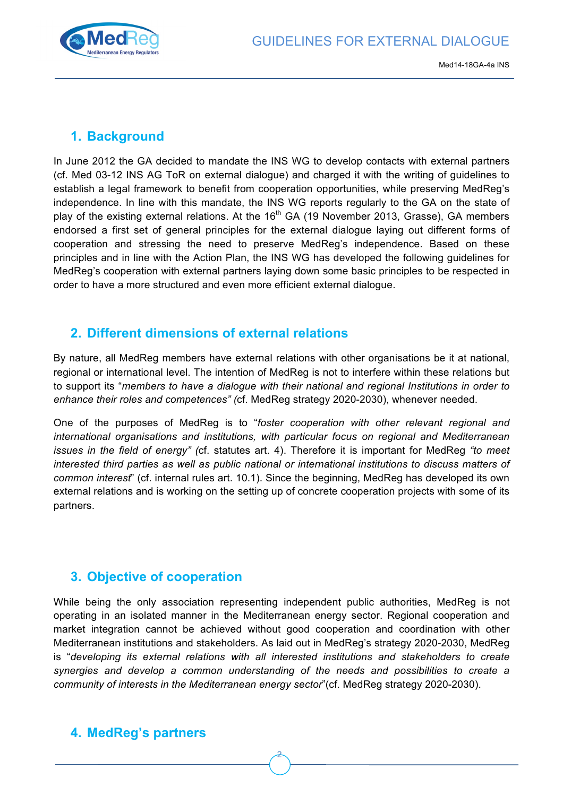

## **1. Background**

In June 2012 the GA decided to mandate the INS WG to develop contacts with external partners (cf. Med 03-12 INS AG ToR on external dialogue) and charged it with the writing of guidelines to establish a legal framework to benefit from cooperation opportunities, while preserving MedReg's independence. In line with this mandate, the INS WG reports regularly to the GA on the state of play of the existing external relations. At the  $16<sup>th</sup>$  GA (19 November 2013, Grasse), GA members endorsed a first set of general principles for the external dialogue laying out different forms of cooperation and stressing the need to preserve MedReg's independence. Based on these principles and in line with the Action Plan, the INS WG has developed the following guidelines for MedReg's cooperation with external partners laying down some basic principles to be respected in order to have a more structured and even more efficient external dialogue.

## **2. Different dimensions of external relations**

By nature, all MedReg members have external relations with other organisations be it at national, regional or international level. The intention of MedReg is not to interfere within these relations but to support its "*members to have a dialogue with their national and regional Institutions in order to enhance their roles and competences" (*cf. MedReg strategy 2020-2030), whenever needed.

One of the purposes of MedReg is to "*foster cooperation with other relevant regional and international organisations and institutions, with particular focus on regional and Mediterranean issues in the field of energy" (*cf. statutes art. 4). Therefore it is important for MedReg *"to meet interested third parties as well as public national or international institutions to discuss matters of common interest*" (cf. internal rules art. 10.1). Since the beginning, MedReg has developed its own external relations and is working on the setting up of concrete cooperation projects with some of its partners.

## **3. Objective of cooperation**

While being the only association representing independent public authorities, MedReg is not operating in an isolated manner in the Mediterranean energy sector. Regional cooperation and market integration cannot be achieved without good cooperation and coordination with other Mediterranean institutions and stakeholders. As laid out in MedReg's strategy 2020-2030, MedReg is "*developing its external relations with all interested institutions and stakeholders to create synergies and develop a common understanding of the needs and possibilities to create a community of interests in the Mediterranean energy sector*"(cf. MedReg strategy 2020-2030).

2

## **4. MedReg's partners**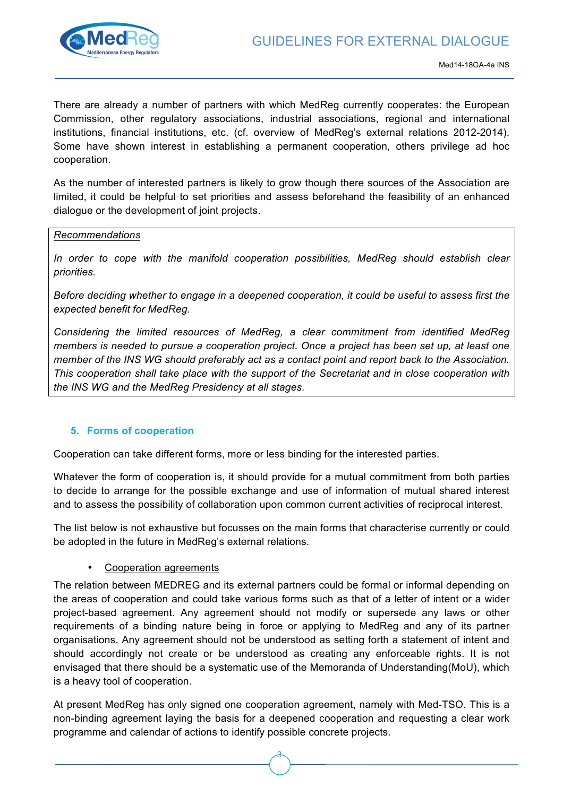

There are already a number of partners with which MedReg currently cooperates: the European Commission, other regulatory associations, industrial associations, regional and international institutions, financial institutions, etc. (cf. overview of MedReg's external relations 2012-2014). Some have shown interest in establishing a permanent cooperation, others privilege ad hoc cooperation.

As the number of interested partners is likely to grow though there sources of the Association are limited, it could be helpful to set priorities and assess beforehand the feasibility of an enhanced dialogue or the development of joint projects.

#### *Recommendations*

In order to cope with the manifold cooperation possibilities, MedReg should establish clear *priorities.*

*Before deciding whether to engage in a deepened cooperation, it could be useful to assess first the expected benefit for MedReg.*

*Considering the limited resources of MedReg, a clear commitment from identified MedReg members is needed to pursue a cooperation project. Once a project has been set up, at least one member of the INS WG should preferably act as a contact point and report back to the Association. This cooperation shall take place with the support of the Secretariat and in close cooperation with the INS WG and the MedReg Presidency at all stages.*

#### **5. Forms of cooperation**

Cooperation can take different forms, more or less binding for the interested parties.

Whatever the form of cooperation is, it should provide for a mutual commitment from both parties to decide to arrange for the possible exchange and use of information of mutual shared interest and to assess the possibility of collaboration upon common current activities of reciprocal interest.

The list below is not exhaustive but focusses on the main forms that characterise currently or could be adopted in the future in MedReg's external relations.

#### • Cooperation agreements

The relation between MEDREG and its external partners could be formal or informal depending on the areas of cooperation and could take various forms such as that of a letter of intent or a wider project-based agreement. Any agreement should not modify or supersede any laws or other requirements of a binding nature being in force or applying to MedReg and any of its partner organisations. Any agreement should not be understood as setting forth a statement of intent and should accordingly not create or be understood as creating any enforceable rights. It is not envisaged that there should be a systematic use of the Memoranda of Understanding(MoU), which is a heavy tool of cooperation.

At present MedReg has only signed one cooperation agreement, namely with Med-TSO. This is a non-binding agreement laying the basis for a deepened cooperation and requesting a clear work programme and calendar of actions to identify possible concrete projects.

3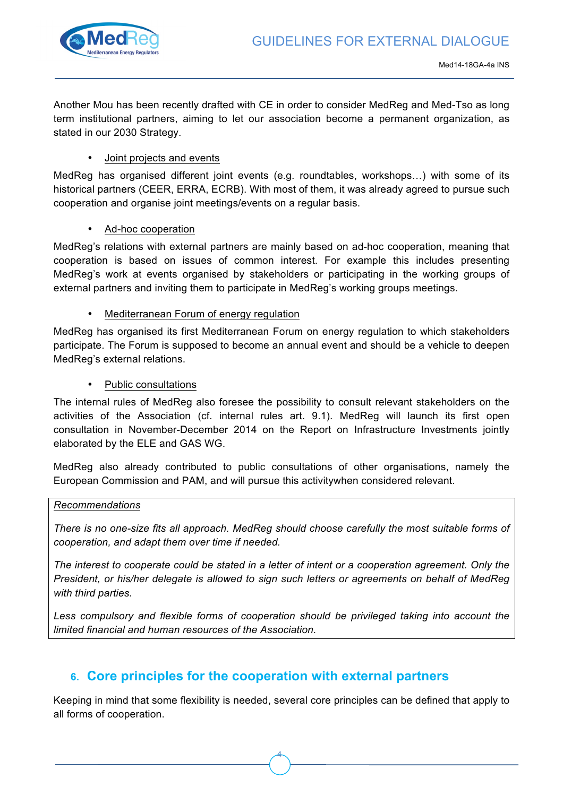

Another Mou has been recently drafted with CE in order to consider MedReg and Med-Tso as long term institutional partners, aiming to let our association become a permanent organization, as stated in our 2030 Strategy.

#### • Joint projects and events

MedReg has organised different joint events (e.g. roundtables, workshops…) with some of its historical partners (CEER, ERRA, ECRB). With most of them, it was already agreed to pursue such cooperation and organise joint meetings/events on a regular basis.

• Ad-hoc cooperation

MedReg's relations with external partners are mainly based on ad-hoc cooperation, meaning that cooperation is based on issues of common interest. For example this includes presenting MedReg's work at events organised by stakeholders or participating in the working groups of external partners and inviting them to participate in MedReg's working groups meetings.

• Mediterranean Forum of energy regulation

MedReg has organised its first Mediterranean Forum on energy regulation to which stakeholders participate. The Forum is supposed to become an annual event and should be a vehicle to deepen MedReg's external relations.

#### • Public consultations

The internal rules of MedReg also foresee the possibility to consult relevant stakeholders on the activities of the Association (cf. internal rules art. 9.1). MedReg will launch its first open consultation in November-December 2014 on the Report on Infrastructure Investments jointly elaborated by the ELE and GAS WG.

MedReg also already contributed to public consultations of other organisations, namely the European Commission and PAM, and will pursue this activitywhen considered relevant.

#### *Recommendations*

*There is no one-size fits all approach. MedReg should choose carefully the most suitable forms of cooperation, and adapt them over time if needed.*

*The interest to cooperate could be stated in a letter of intent or a cooperation agreement. Only the President, or his/her delegate is allowed to sign such letters or agreements on behalf of MedReg with third parties.*

Less compulsory and flexible forms of cooperation should be privileged taking into account the *limited financial and human resources of the Association.*

### **6. Core principles for the cooperation with external partners**

Keeping in mind that some flexibility is needed, several core principles can be defined that apply to all forms of cooperation.

4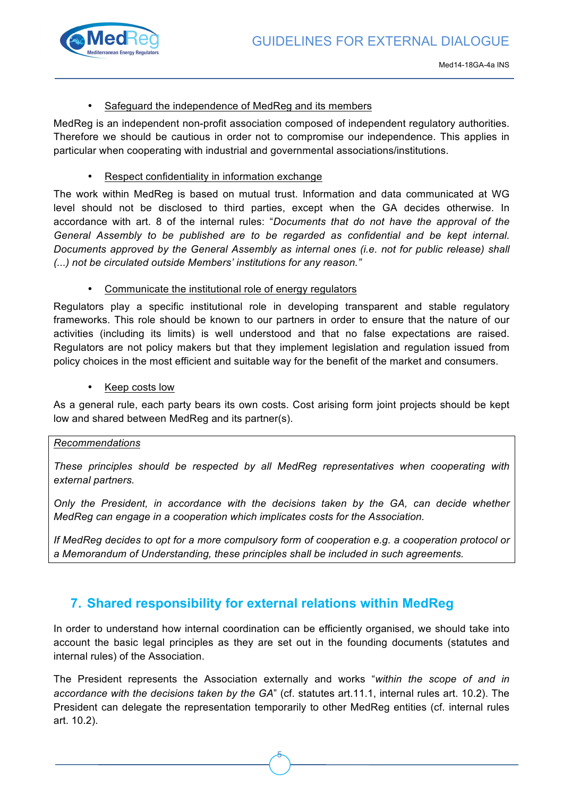

#### Safeguard the independence of MedReg and its members

MedReg is an independent non-profit association composed of independent regulatory authorities. Therefore we should be cautious in order not to compromise our independence. This applies in particular when cooperating with industrial and governmental associations/institutions.

#### Respect confidentiality in information exchange

The work within MedReg is based on mutual trust. Information and data communicated at WG level should not be disclosed to third parties, except when the GA decides otherwise. In accordance with art. 8 of the internal rules: "*Documents that do not have the approval of the General Assembly to be published are to be regarded as confidential and be kept internal. Documents approved by the General Assembly as internal ones (i.e. not for public release) shall (...) not be circulated outside Members' institutions for any reason."*

• Communicate the institutional role of energy regulators

Regulators play a specific institutional role in developing transparent and stable regulatory frameworks. This role should be known to our partners in order to ensure that the nature of our activities (including its limits) is well understood and that no false expectations are raised. Regulators are not policy makers but that they implement legislation and regulation issued from policy choices in the most efficient and suitable way for the benefit of the market and consumers.

Keep costs low

As a general rule, each party bears its own costs. Cost arising form joint projects should be kept low and shared between MedReg and its partner(s).

#### *Recommendations*

*These principles should be respected by all MedReg representatives when cooperating with external partners.*

*Only the President, in accordance with the decisions taken by the GA, can decide whether MedReg can engage in a cooperation which implicates costs for the Association.*

*If MedReg decides to opt for a more compulsory form of cooperation e.g. a cooperation protocol or a Memorandum of Understanding, these principles shall be included in such agreements.*

## **7. Shared responsibility for external relations within MedReg**

In order to understand how internal coordination can be efficiently organised, we should take into account the basic legal principles as they are set out in the founding documents (statutes and internal rules) of the Association.

The President represents the Association externally and works "*within the scope of and in accordance with the decisions taken by the GA*" (cf. statutes art.11.1, internal rules art. 10.2). The President can delegate the representation temporarily to other MedReg entities (cf. internal rules art. 10.2).

5